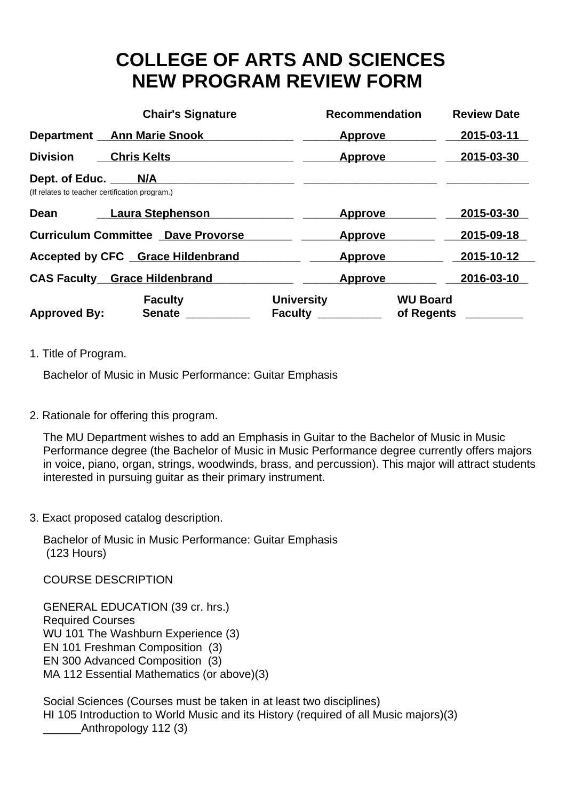## **COLLEGE OF ARTS AND SCIENCES NEW PROGRAM REVIEW FORM**

|                                                                      | <b>Chair's Signature</b>                  | <b>Recommendation</b>               | <b>Review Date</b>            |
|----------------------------------------------------------------------|-------------------------------------------|-------------------------------------|-------------------------------|
|                                                                      | <b>Department</b> Ann Marie Snook         | <b>Approve</b>                      | 2015-03-11                    |
| <b>Division</b>                                                      | <b>Chris Kelts</b>                        | <b>Approve</b>                      | 2015-03-30                    |
| Dept. of Educ. N/A<br>(If relates to teacher certification program.) |                                           |                                     |                               |
| Dean                                                                 | Laura Stephenson                          | <b>Approve</b>                      | 2015-03-30                    |
|                                                                      | <b>Curriculum Committee Dave Provorse</b> | <b>Approve</b>                      | 2015-09-18                    |
|                                                                      | Accepted by CFC Grace Hildenbrand         | <b>Approve</b>                      | 2015-10-12                    |
|                                                                      | <b>CAS Faculty Grace Hildenbrand</b>      | Approve                             | 2016-03-10                    |
| <b>Approved By:</b>                                                  | <b>Faculty</b><br><b>Senate</b>           | <b>University</b><br><b>Faculty</b> | <b>WU Board</b><br>of Regents |

1. Title of Program.

Bachelor of Music in Music Performance: Guitar Emphasis

2. Rationale for offering this program.

The MU Department wishes to add an Emphasis in Guitar to the Bachelor of Music in Music Performance degree (the Bachelor of Music in Music Performance degree currently offers majors in voice, piano, organ, strings, woodwinds, brass, and percussion). This major will attract students interested in pursuing guitar as their primary instrument.

3. Exact proposed catalog description.

Bachelor of Music in Music Performance: Guitar Emphasis (123 Hours)

COURSE DESCRIPTION 

GENERAL EDUCATION (39 cr. hrs.) Required Courses WU 101 The Washburn Experience (3) EN 101 Freshman Composition (3) EN 300 Advanced Composition (3) MA 112 Essential Mathematics (or above)(3)

Social Sciences (Courses must be taken in at least two disciplines) HI 105 Introduction to World Music and its History (required of all Music majors)(3) \_\_\_\_\_\_Anthropology 112 (3)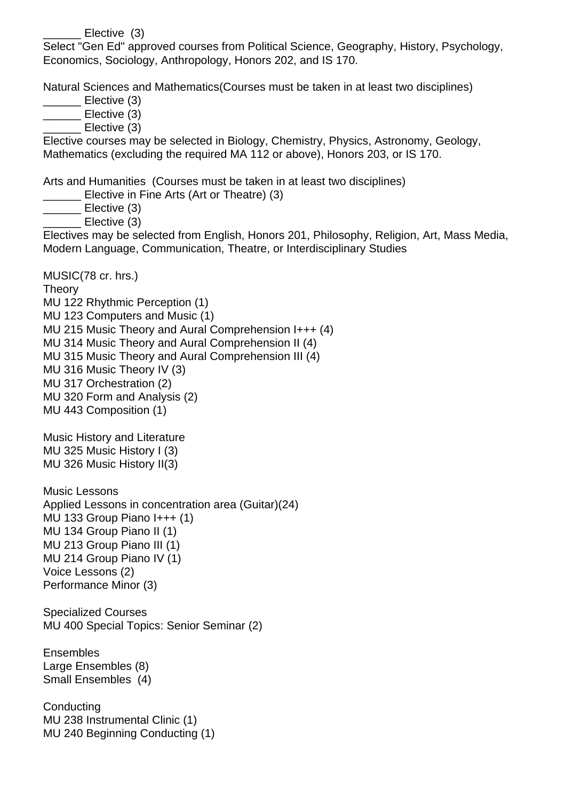Elective (3)

Select "Gen Ed" approved courses from Political Science, Geography, History, Psychology, Economics, Sociology, Anthropology, Honors 202, and IS 170. 

Natural Sciences and Mathematics(Courses must be taken in at least two disciplines) 

\_\_\_\_\_\_ Elective (3)

\_\_\_\_\_\_ Elective (3)

\_\_\_\_\_\_ Elective (3)

Elective courses may be selected in Biology, Chemistry, Physics, Astronomy, Geology, Mathematics (excluding the required MA 112 or above), Honors 203, or IS 170. 

Arts and Humanities (Courses must be taken in at least two disciplines) 

\_\_\_\_\_\_ Elective in Fine Arts (Art or Theatre) (3)

\_\_\_\_\_\_ Elective (3)

\_\_\_\_\_\_ Elective (3)

Electives may be selected from English, Honors 201, Philosophy, Religion, Art, Mass Media, Modern Language, Communication, Theatre, or Interdisciplinary Studies 

MUSIC (78 cr. hrs.)

**Theory** 

MU 122 Rhythmic Perception (1) MU 123 Computers and Music (1) MU 215 Music Theory and Aural Comprehension I+++ (4) MU 314 Music Theory and Aural Comprehension II (4) MU 315 Music Theory and Aural Comprehension III (4) MU 316 Music Theory IV (3) MU 317 Orchestration (2) MU 320 Form and Analysis (2) MU 443 Composition (1) 

Music History and Literature MU 325 Music History I (3) MU 326 Music History II (3)

Music Lessons Applied Lessons in concentration area (Guitar)(24) MU 133 Group Piano I+++ (1) MU 134 Group Piano II (1) MU 213 Group Piano III (1) MU 214 Group Piano IV (1) Voice Lessons (2) Performance Minor (3) 

Specialized Courses MU 400 Special Topics: Senior Seminar (2) 

Ensembles Large Ensembles (8) Small Ensembles (4)

**Conducting** MU 238 Instrumental Clinic (1) MU 240 Beginning Conducting (1)